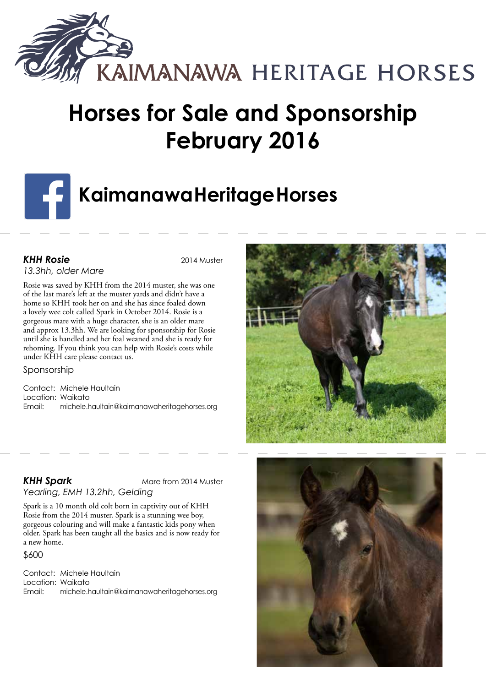

# **Horses for Sale and Sponsorship February 2016**

# **KaimanawaHeritageHorses**

# **KHH Rosie** 2014 Muster

*13.3hh, older Mare*

Rosie was saved by KHH from the 2014 muster, she was one of the last mare's left at the muster yards and didn't have a home so KHH took her on and she has since foaled down a lovely wee colt called Spark in October 2014. Rosie is a gorgeous mare with a huge character, she is an older mare and approx 13.3hh. We are looking for sponsorship for Rosie until she is handled and her foal weaned and she is ready for rehoming. If you think you can help with Rosie's costs while under KHH care please contact us.

Sponsorship

Contact: Michele Haultain Location: Waikato Email: michele.haultain@kaimanawaheritagehorses.org



**KHH Spark** Mare from 2014 Muster *Yearling, EMH 13.2hh, Gelding*

Spark is a 10 month old colt born in captivity out of KHH Rosie from the 2014 muster. Spark is a stunning wee boy, gorgeous colouring and will make a fantastic kids pony when older. Spark has been taught all the basics and is now ready for a new home.

### \$600

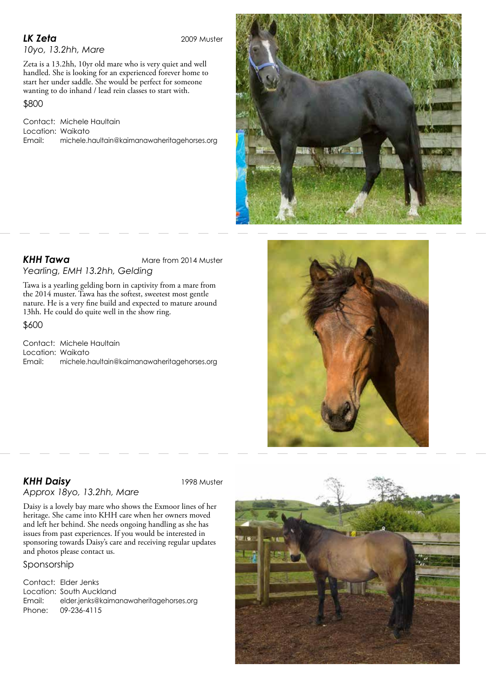*LK Zeta* 2009 Muster

*10yo, 13.2hh, Mare*

Zeta is a 13.2hh, 10yr old mare who is very quiet and well handled. She is looking for an experienced forever home to start her under saddle. She would be perfect for someone wanting to do inhand / lead rein classes to start with.

\$800

Contact: Michele Haultain Location: Waikato Email: michele.haultain@kaimanawaheritagehorses.org



**KHH Tawa** Mare from 2014 Muster *Yearling, EMH 13.2hh, Gelding*

Tawa is a yearling gelding born in captivity from a mare from the 2014 muster. Tawa has the softest, sweetest most gentle nature. He is a very fine build and expected to mature around 13hh. He could do quite well in the show ring.

\$600

Contact: Michele Haultain Location: Waikato Email: michele.haultain@kaimanawaheritagehorses.org



## **KHH Daisy** 1998 Muster *Approx 18yo, 13.2hh, Mare*

Daisy is a lovely bay mare who shows the Exmoor lines of her heritage. She came into KHH care when her owners moved and left her behind. She needs ongoing handling as she has issues from past experiences. If you would be interested in sponsoring towards Daisy's care and receiving regular updates and photos please contact us.

Sponsorship

Contact: Elder Jenks Location: South Auckland Email: elder.jenks@kaimanawaheritagehorses.org Phone: 09-236-4115

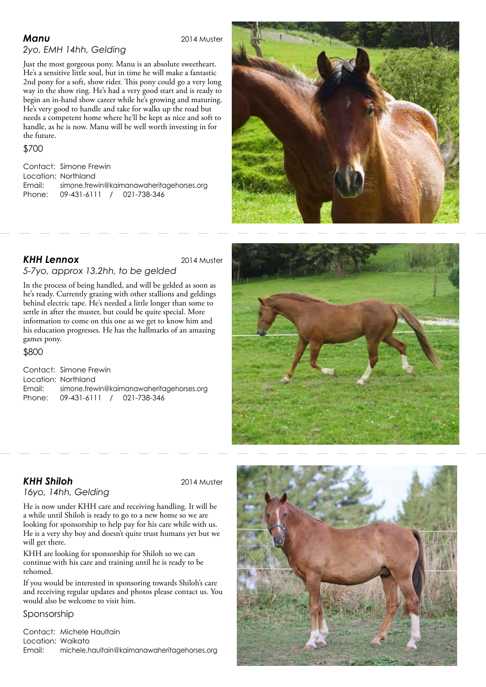**Manu** 2014 Muster

# *2yo, EMH 14hh, Gelding*

Just the most gorgeous pony. Manu is an absolute sweetheart. He's a sensitive little soul, but in time he will make a fantastic 2nd pony for a soft, show rider. This pony could go a very long way in the show ring. He's had a very good start and is ready to begin an in-hand show career while he's growing and maturing. He's very good to handle and take for walks up the road but needs a competent home where he'll be kept as nice and soft to handle, as he is now. Manu will be well worth investing in for the future.

### \$700

Contact: Simone Frewin Location: Northland Email: simone.frewin@kaimanawaheritagehorses.org Phone: 09-431-6111 / 021-738-346



# *KHH Lennox* 2014 Muster

## *5-7yo, approx 13.2hh, to be gelded*

In the process of being handled, and will be gelded as soon as he's ready. Currently grazing with other stallions and geldings behind electric tape. He's needed a little longer than some to settle in after the muster, but could be quite special. More information to come on this one as we get to know him and his education progresses. He has the hallmarks of an amazing games pony.

### \$800

Contact: Simone Frewin Location: Northland Email: simone.frewin@kaimanawaheritagehorses.org Phone: 09-431-6111 / 021-738-346



# **KHH Shiloh** 2014 Muster

*16yo, 14hh, Gelding*

He is now under KHH care and receiving handling. It will be a while until Shiloh is ready to go to a new home so we are looking for sponsorship to help pay for his care while with us. He is a very shy boy and doesn't quite trust humans yet but we

will get there. KHH are looking for sponsorship for Shiloh so we can continue with his care and training until he is ready to be rehomed.

If you would be interested in sponsoring towards Shiloh's care and receiving regular updates and photos please contact us. You would also be welcome to visit him.

### Sponsorship

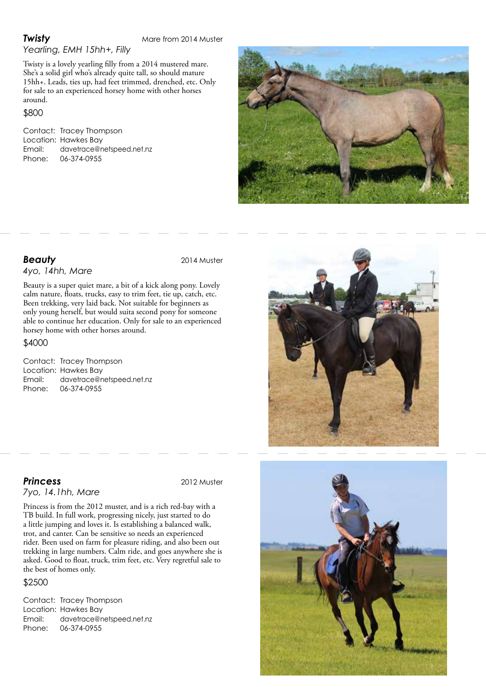*Yearling, EMH 15hh+, Filly*

Twisty is a lovely yearling filly from a 2014 mustered mare. She's a solid girl who's already quite tall, so should mature 15hh+. Leads, ties up, had feet trimmed, drenched, etc. Only for sale to an experienced horsey home with other horses around.

### \$800

Contact: Tracey Thompson Location: Hawkes Bay<br>Email: davetrace@n Email: davetrace@netspeed.net.nz Phone: 06-374-0955



**Beauty** 2014 Muster

### *4yo, 14hh, Mare*

Beauty is a super quiet mare, a bit of a kick along pony. Lovely calm nature, floats, trucks, easy to trim feet, tie up, catch, etc. Been trekking, very laid back. Not suitable for beginners as only young herself, but would suita second pony for someone able to continue her education. Only for sale to an experienced horsey home with other horses around.

### \$4000

Contact: Tracey Thompson Location: Hawkes Bay Email: davetrace@netspeed.net.nz Phone: 06-374-0955

*Princess* 2012 Muster

# *7yo, 14.1hh, Mare*

Princess is from the 2012 muster, and is a rich red-bay with a TB build. In full work, progressing nicely, just started to do a little jumping and loves it. Is establishing a balanced walk, trot, and canter. Can be sensitive so needs an experienced rider. Been used on farm for pleasure riding, and also been out trekking in large numbers. Calm ride, and goes anywhere she is asked. Good to float, truck, trim feet, etc. Very regretful sale to the best of homes only.

### \$2500

Contact: Tracey Thompson Location: Hawkes Bay Email: davetrace@netspeed.net.nz Phone: 06-374-0955



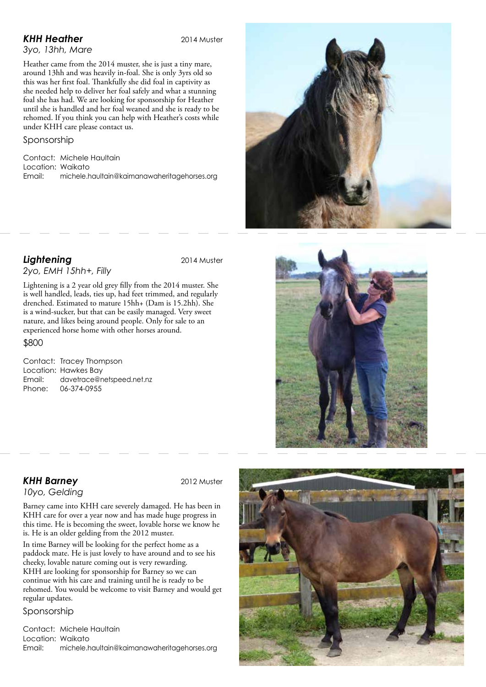# **KHH Heather** 2014 Muster

# *3yo, 13hh, Mare*

Heather came from the 2014 muster, she is just a tiny mare, around 13hh and was heavily in-foal. She is only 3yrs old so this was her first foal. Thankfully she did foal in captivity as she needed help to deliver her foal safely and what a stunning foal she has had. We are looking for sponsorship for Heather until she is handled and her foal weaned and she is ready to be rehomed. If you think you can help with Heather's costs while under KHH care please contact us.

## Sponsorship

Contact: Michele Haultain Location: Waikato Email: michele.haultain@kaimanawaheritagehorses.org

# **Lightening** 2014 Muster

*2yo, EMH 15hh+, Filly*

Lightening is a 2 year old grey filly from the 2014 muster. She is well handled, leads, ties up, had feet trimmed, and regularly drenched. Estimated to mature 15hh+ (Dam is 15.2hh). She is a wind-sucker, but that can be easily managed. Very sweet nature, and likes being around people. Only for sale to an experienced horse home with other horses around.

### \$800

Contact: Tracey Thompson Location: Hawkes Bay Email: davetrace@netspeed.net.nz Phone: 06-374-0955

### **KHH Barney** 2012 Muster *10yo, Gelding*

Barney came into KHH care severely damaged. He has been in KHH care for over a year now and has made huge progress in this time. He is becoming the sweet, lovable horse we know he is. He is an older gelding from the 2012 muster.

In time Barney will be looking for the perfect home as a paddock mate. He is just lovely to have around and to see his cheeky, lovable nature coming out is very rewarding. KHH are looking for sponsorship for Barney so we can continue with his care and training until he is ready to be rehomed. You would be welcome to visit Barney and would get regular updates.

### Sponsorship